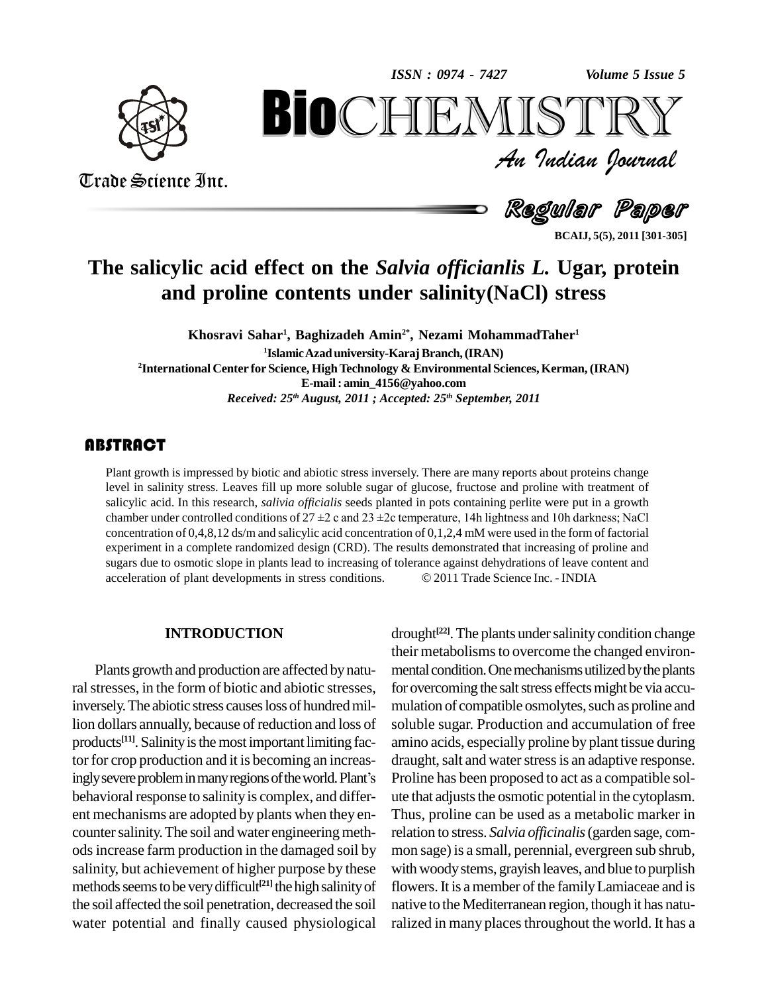*Volume 5 Issue 5*



Trade Science Inc.

Trade Science Inc.

An Indian Journal<br>Regular Paper *Volume 5 Issue 5*<br> $\begin{array}{c} \bigcirc \mathbb{T} \mathbb{R} \mathbb{Y} \ \mathcal{I} \end{array}$ **BioCHEMISTRY**<br>Au Indian Journal<br>Regular Paper<br>effect on the Salvia officianlis L. Ugar, protein<br>e contents under salinity(NaCl) stress

**BCAIJ, 5(5), 2011 [301-305]**

# **The salicylic acid effect on the** *Salvia officianlis L.* **Ugar, protein and proline contents under salinity(NaCl) stress**

**Khosravi Sahar 1 , Baghizadeh Amin 2\* , Nezami MohammadTaher 1** <sup>1</sup>**IslamicAzad university-Karaj Branch, (IRAN) <sup>2</sup>International Center for Science, HighTechnology & Environmental Sciences, Kerman, (IRAN) E-mail: [amin\\_4156@yahoo.com](mailto:amin_4156@yahoo.com)** *Received: 25 th August, 2011 ; Accepted: 25 th September, 2011*

# **ABSTRACT**

Plant growth is impressed<br>level in salinity stress. Le<br>salicylic acid. In this rese Plant growth isimpressed by biotic and abiotic stress inversely. There are many reports about proteins change level in salinity stress. Leaves fill up more soluble sugar of glucose, fructose and proline with treatment of salicylic acid. In this research, *salivia officialis* seeds planted in pots containing perlite were put in a growth chamber under controlled conditions of  $27 \pm 2$  c and  $23 \pm 2c$  temperature, 14h lightness and 10h darkness; NaCl concentration of 0,4,8,12 ds/m and salicylic acid concentration of 0,1,2,4 mM were used in the form of factorial experiment in a complete randomized design (CRD). The results demonstrated that increasing of proline and<br>sugars due to osmotic slope in plants lead to increasing of tolerance against dehydrations of leave content and<br>acce sugars due to osmotic slope in plants lead to increasing of tolerance against dehydrations of leave content and

#### **INTRODUCTION**

Plants growth and production are affected by natural stresses, in the form of biotic and abiotic stresses. inversely. The abiotic stress causes loss of hundred million dollars annually, because of reduction and loss of products<sup>[11]</sup>. Salinity is the most important limiting fac-<br>tor for crop production and it is becoming an increas-<br>ingly severe problem in many regions of the world. Plant's Proli tor for crop production and it is becoming an increasbehavioral response to salinity is complex, and different mechanisms are adopted by plants when they en counter salinity. The soil and water engineering methodsincrease farm production in the damaged soilby salinity, but achievement of higher purpose by these methods seems to be very difficult<sup>[21]</sup> the high salinity of flov the soil affected the soil penetration, decreased the soil water potential and finally caused physiological

drought<sup>[22]</sup>. The plants under salinity condition change their metabolisms to overcome the changed environmental condition. One mechanisms utilized by the plants for overcoming the salt stress effects might be via accumulation of compatible osmolytes, such as proline and soluble sugar. Production and accumulation of free amino acids, especially proline by plant tissue during draught, salt and water stress is an adaptive response. Proline has been proposed to act as a compatible sol ute that adjusts the osmotic potential in the cytoplasm. Thus, proline can be used as a metabolic marker in relation to stress. *Salvia officinalis* (garden sage, common sage) is a small, perennial, evergreen sub shrub, with woodystems, grayish leaves, and blue to purplish flowers. It is a member of the family Lamiaceae and is native to the Mediterranean region, though it has naturalized in many places throughout the world. It has a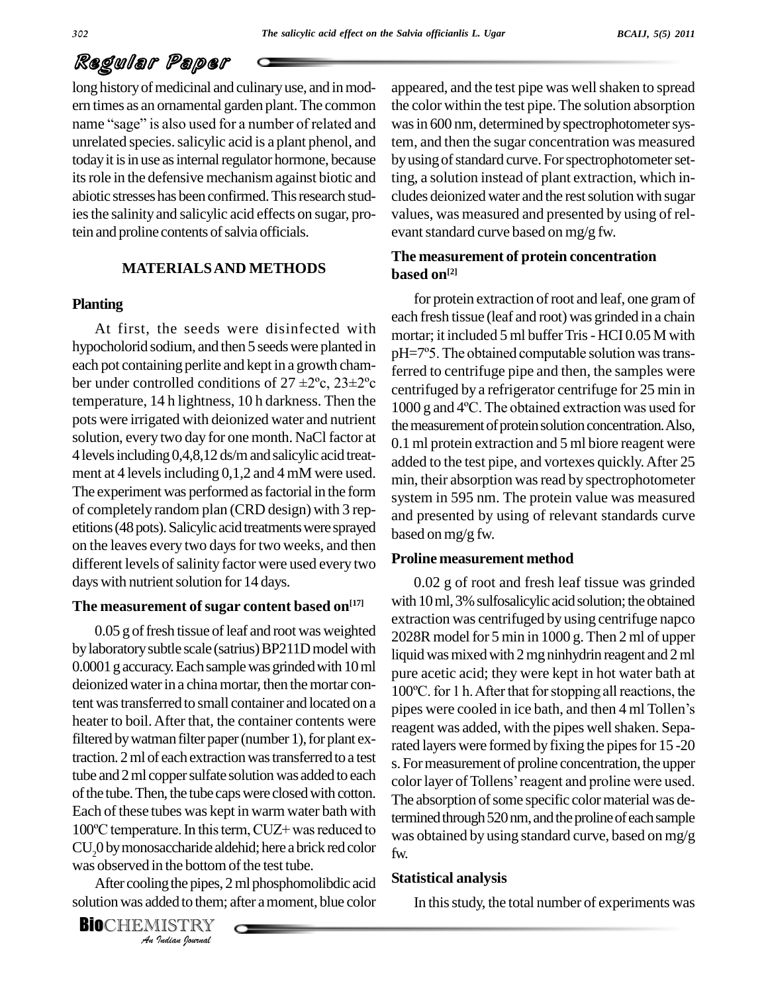# Regular Paper

appeared, and the test pipe was well shaken to spread the color within the test pipe.The solution absorption was in 600 nm, determined by spectrophotometer system, and then the sugar concentration was measured by using of standard curve. For spectrophotometer setting, a solution instead of plant extraction, which in cludes deionized water and the rest solution with sugar values, was measured and presented by using of rel-

evant standard curve based on mg/g fw.

**based on [2]**

**The measurement of protein concentration**

for protein extraction of root and leaf, one gram of

mortar; it included 5 ml bufferTris- HCI 0.05 M with

each fresh tissue (leaf and root) was grinded in a chain<br>mortar; it included 5 ml buffer Tris - HCI 0.05 M with<br>pH=7°5. The obtained computable solution was trans-

long history of medicinal and culinary use, and in modern times as an ornamental garden plant.The common name "sage" is also used for a number of related and unrelated species.salicylic acid is a plant phenol, and today it is in use as internal regulator hormone, because its role in the defensive mechanism against biotic and abiotic stresseshas been confirmed.Thisresearch studiesthe salinityand salicylic acid effects on sugar, protein and proline contents of salvia officials.

# **MATERIALSAND METHODS**

#### **Planting**

At first, the seeds were disinfected with hypocholorid sodium, and then 5 seeds were planted in  $pH=7^{\circ}5$ . The obtained computable solution was transeach pot containing perlite and kept in a growth cham- $\frac{r}{f_{\text{err}}}$ hypocholorid sodium, and then 5 seeds were planted in<br>each pot containing perlite and kept in a growth cham-<br>ber under controlled conditions of  $27 \pm 2^{\circ}c$ ,  $23 \pm 2^{\circ}c$ temperature, 14 h lightness, 10 h darkness. Then the pots were irrigated with deionized water and nutrient solution, every two day for one month. NaCl factor at 4 levelsincluding0,4,8,12 ds/mandsalicylic acid treat ment at 4 levels including  $0,1,2$  and 4 mM were used. The experiment was performed as factorial in the form of completely random plan (CRD design) with 3 rep etitions (48 pots). Salicylic acid treatments were sprayed on the leaves every two daysfor two weeks, and then different levels of salinity factor were used every two days with nutrient solution for 14 days.

### $\mathbf{T}$ he measurement of sugar content based on<sup>[17]</sup> WIU

100°C temperature. In this term, CUZ+ was reduced to *In this text*<br>*In the bottom*<br>*Ing the pipes, 2*<br>*Ided to them;<br>IISTRY* 0.05 g of fresh tissue of leaf and root was weighted by laboratory subtle scale (satrius) BP211D model with 0.0001gaccuracy.Eachsamplewas grindedwith 10ml deionized water in a china mortar, then the mortar condeformated water in a china mortar, then the mortar con-<br>tent was transferred to small container and located on a<br>pipes were cooled in ice bath, and then 4 ml Tollen's heater to boil.After that, the container contents were filtered by watman filter paper (number 1), for plant extraction. 2 ml of each extraction was transferred to a test tube and 2 ml copper sulfate solution was added to each color layer of Tollens' reagent and proline were used. of the tube. Then, the tube caps were closed with cotton.<br>Each of these tubes was kept in warm water bath with<br>100°C temperature. In this term, CUZ+ was reduced to Each of these tubes was kept in warm water bath with  $CU_2$ 0 by monosaccharide aldehid; here a brick red color  $v_{\text{fw}}$ . was observed in the bottom of the test tube.

After cooling the pipes, 2 ml phosphomolibdic acid solution was added to them; after a moment, blue color

**BIO**CHEMISTRY



#### **Proline measurement method**

0.02 g of root and fresh leaf tissue was grinded with  $10$  ml,  $3%$  sulfosalicylic acid solution; the obtained extraction was centrifuged by using centrifuge napco 2028R model for 5 min in 1000 g. Then 2 ml of upper liquid was mixed with 2 mg ninhydrin reagent and 2 ml<br>pure acetic acid; they were kept in hot water bath at<br>100°C. for 1 h. After that for stopping all reactions, the pure acetic acid; they were kept in hot water bath at 100°C. for 1 h. After that for stopping all reactions, the pipes were cooled in ice bath, and then 4 ml Tollen's reagent was added, with the pipes well shaken. Separated layers were formed by fixing the pipes for 15 -20<br>s. For measurement of proline concentration, the upper<br>color layer of Tollens' reagent and proline were used. s. For measurement of proline concentration, the upper The absorption of some specific color material was determined through 520 nm, and the proline of each sample was obtained by using standard curve, based on mg/g fw.

#### **Statistical analysis**

In thisstudy, the total number of experiments was

**302**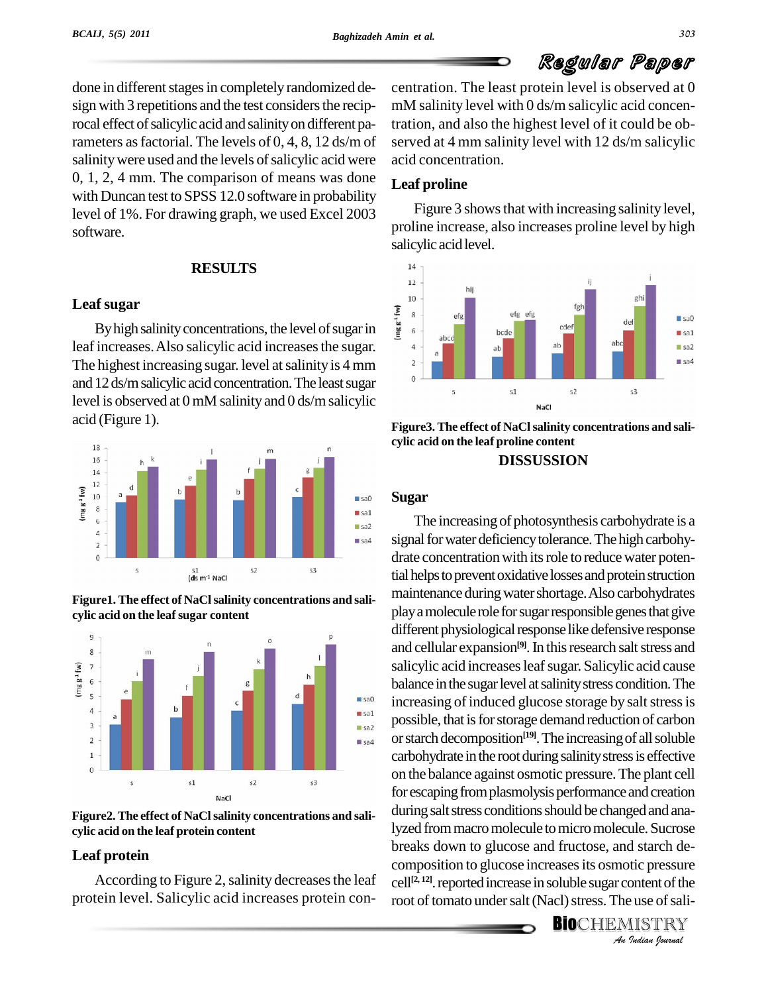

done in different stages in completely randomized design with 3 repetitions and the test considers the reciprocal effect of salicylic acid and salinity on different parameters asfactorial. The levels of 0, 4, 8, 12 ds/m of salinity were used and the levels of salicylic acid were 0, 1, 2, 4 mm. The comparison of means was done with Duncan test to SPSS 12.0 software in probability level of 1%. For drawing graph, we used Excel 2003 software.

# **RESULTS**

### **Leafsugar**

**By high salinity concentrations, the level of sugar in** leaf increases. Also salicylic acid increases the sugar. The highest increasing sugar. level at salinity is  $4 \text{ mm}$   $\frac{2}{3}$ and 12 ds/m salicylic acid concentration. The least sugar level is observed at 0 mM salinity and 0 ds/msalicylic acid (Figure 1).



**Figure1. The effect of NaClsalinity concentrations and sali cylic acid on the leafsugar content**



**Figure2. The effect of NaClsalinity concentrations and sali cylic acid on the leaf protein content**

# **Leaf protein**

According to Figure 2, salinity decreases the leaf protein level. Salicylic acid increases protein concentration. The least protein level is observed at 0 mM salinity level with 0 ds/m salicylic acid concentration, and also the highest level of it could be ob served at 4 mm salinity level with 12 ds/m salicylic acid concentration.

# **Leaf proline**

Figure 3 shows that with increasing salinity level, proline increase, also increases proline level by high salicylic acid level.



**Figure3. The effect of NaClsalinity concentrations and sali cylic acid on the leaf proline content DISSUSSION**

#### **Sugar**

lyzed from macro molecule to micro molecule. Sucrose *Indian*<br>*I* starch de-<br>*I* is use of sali-<br>IISTRY<br>*Indian hournal* The increasing of photosynthesis carbohydrate is a signal for water deficiency tolerance. The high carbohydrate concentration with its role to reduce water potential helps to prevent oxidative losses and protein struction maintenance during water shortage. Also carbohydrates play a molecule role for sugar responsible genes that give different physiological response like defensive response and cellular expansion<sup>[9]</sup>. In this research salt stress and salicylic acid increases leaf sugar. Salicylic acid cause balance in the sugar level at salinity stress condition. The increasing of induced glucose storage by salt stress is possible, that is for storage demand reduction of carbon or starch decomposition<sup>[19]</sup>. The increasing of all soluble carbohydrate in the root during salinity stress is effective on the balance against osmotic pressure.The plant cell for escaping from plasmolysis performance and creation during salt stress conditions should be changed and anabreaks down to glucose and fructose, and starch de composition to glucose increasesits osmotic pressure cell<sup>[2, 12]</sup>. reported increase in soluble sugar content of the root of tomato under salt (Nacl) stress. The use of sali-

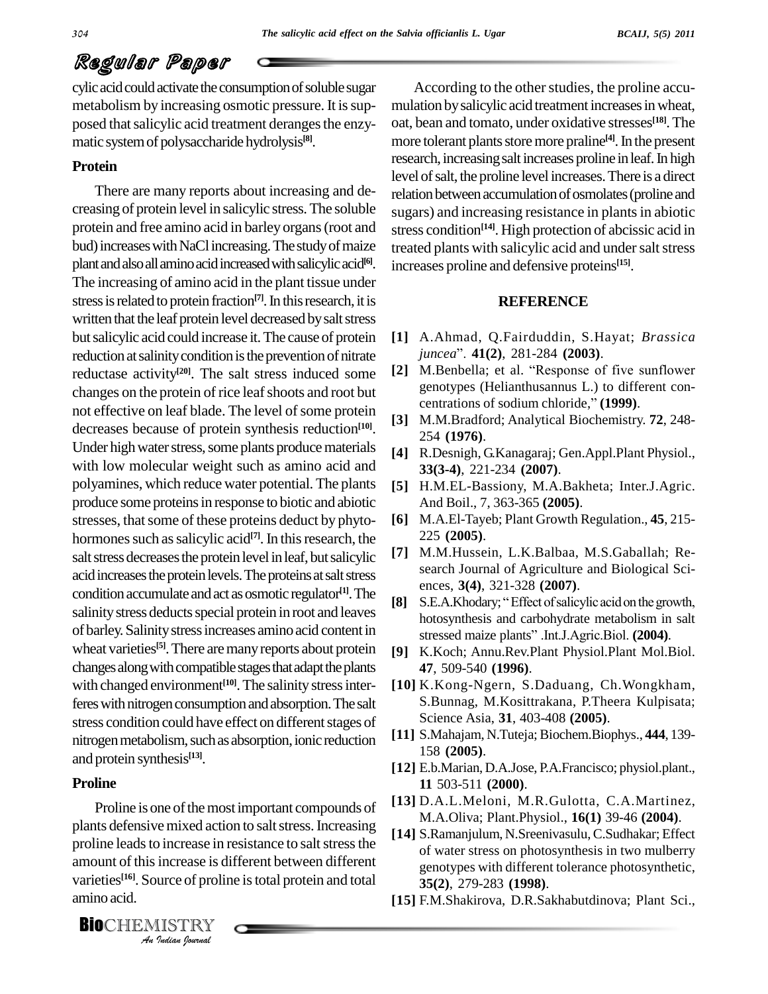# Regular Paper

cylic acid could activate the consumption of soluble sugar metabolism by increasing osmotic pressure. It is supposed that salicylic acid treatment deranges the enzymatic systemof polysaccharide hydrolysis **[8]**.

## **Protein**

There are many reports about increasing and de creasing of protein level in salicylic stress.The soluble protein and free amino acid in barley organs (root and bud) increases with NaCl increasing. The study of maize plant and also all amino acid increased with salicylic acid<sup>[6]</sup>. The increasing of amino acid in the plant tissue under stress is related to protein fraction<sup>[7]</sup>. In this research, it is written that the leaf protein level decreased by salt stress but salicylic acid could increase it. The cause of protein reduction at salinity condition is the prevention of nitrate  $juncea$ . 41(2), 281-284 (2003). reductase activity **[20]**. The salt stress induced some changes on the protein of rice leaf shoots and root but not effective on leaf blade. The level of some protein centrations of sodium chloride,"  $(1999)$ . decreases because of protein synthesis reduction **[10]**. Under high water stress, some plants produce materials with low molecular weight such as amino acid and polyamines, which reduce water potential. The plants produce some proteinsin response to biotic and abiotic stresses, that some of these proteins deduct by phytohormones such as salicylic acid<sup>[7]</sup>. In this research, the  $\hspace{1cm} 2$ salt stress decreases the protein level in leaf, but salicylic  $[7]$ acid increases the protein levels. The proteins at salt stress condition accumulate and act as osmotic regulator<sup>[1]</sup>. The salinity stress deducts special protein in root and leaves of barley. Salinity stress increases amino acid content in stressed maize plants". Int. J. Agric. Biol. (2004). wheat varieties<sup>[5]</sup>. There are many reports about protein [9] K. changes along with compatible stages that adapt the plants with changed environment<sup>[10]</sup>. The salinity stress interferes with nitrogen consumption and absorption. The salt stress condition could have effect on different stages of nitrogen metabolism, such as absorption, ionic reduction and protein synthesis **[13]**.

#### **Proline**

**BIO**CHEMISTRY

proline leads to increase in resistance to salt stress the *I* increase in 1<br>**Increase is d**<br>Jurce of prolii<br>IISTRY Proline is one of the most important compounds of plants defensive mixed action to salt stress. Increasing amount of this increase is different between different varieties<sup>[16]</sup>. Source of proline is total protein and total amino acid.

**[6]**. increases proline and defensive proteins **[15]**. According to the other studies, the proline accumulation by salicylic acid treatment increases in wheat, oat, bean and tomato, under oxidative stresses **[18]**.The more tolerant plants store more praline<sup>[4]</sup>. In the present research, increasing salt increases proline in leaf. In high level of salt, the proline level increases. There is a direct relation between accumulation of osmolates (proline and sugars) and increasing resistance in plants in abiotic stress condition **[14]**. High protection of abcissic acid in treated plants with salicylic acid and under salt stress

#### **REFERENCE**

- **[1]** A.Ahmad, Q.Fairduddin, S.Hayat; *Brassica juncea*î. **41(2)**, 281-284 **(2003)**. [1] A.Ahmad, Q.Fairduddin, S.Hayat; *Brassica*<br>*juncea*". **41(2)**, 281-284 (**2003**).<br>[2] M.Benbella; et al. "Response of five sunflower
- genotypes (Helianthusannus L.) to different con- [2] M.Benbella; et al. "Response of five sunflower
- **[3]** M.M.Bradford; Analytical Biochemistry. **72**, 248- 254 **(1976)**.
- **[4]** R.Desnigh, G.Kanagaraj; Gen.Appl.Plant Physiol., **33(3-4)**, 221-234 **(2007)**.
- **[5]** H.M.EL-Bassiony, M.A.Bakheta; Inter.J.Agric. And Boil., 7, 363-365 **(2005)**.
- **[6]** M.A.El-Tayeb; Plant Growth Regulation., **45**, 215- 225 **(2005)**.
- **[7]** M.M.Hussein, L.K.Balbaa, M.S.Gaballah; Re search Journal of Agriculture and Biological Sci ences, **3(4)**, 321-328 **(2007)**. **finding Search Journal of Agriculture and Biological Sciences, 3(4), 321-328 (2007).<br>
<b>[8]** S.E.A.Khodary; "Effect of salicylic acid on the growth,
- hotosynthesis and carbohydrate metabolism in salt S.E.A.Khodary; "Effect of salicylic acid on the growth,<br>hotosynthesis and carbohydrate metabolism in salt<br>stressed maize plants" .Int.J.Agric.Biol. (2004).
- **[9]** K.Koch; Annu.Rev.Plant Physiol.Plant Mol.Biol. **47**, 509-540 **(1996)**.
- **[10]** K.Kong-Ngern, S.Daduang, Ch.Wongkham, S.Bunnag, M.Kosittrakana, P.Theera Kulpisata; Science Asia, **31**, 403-408 **(2005)**.
- **[11]** S.Mahajam, N.Tuteja; Biochem.Biophys., **444**, 139- 158 **(2005)**.
- **[12]** E.b.Marian, D.A.Jose, P.A.Francisco; physiol.plant., **11** 503-511 **(2000)**.
- **[13]** D.A.L.Meloni, M.R.Gulotta, C.A.Martinez, M.A.Oliva; Plant.Physiol., **16(1)** 39-46 **(2004)**.
- **[14]** S.Ramanjulum, N.Sreenivasulu,C.Sudhakar; Effect of water stress on photosynthesis in two mulberry genotypes with different tolerance photosynthetic, **35(2)**, 279-283 **(1998)**.
- **[15]** F.M.Shakirova, D.R.Sakhabutdinova; Plant Sci.,